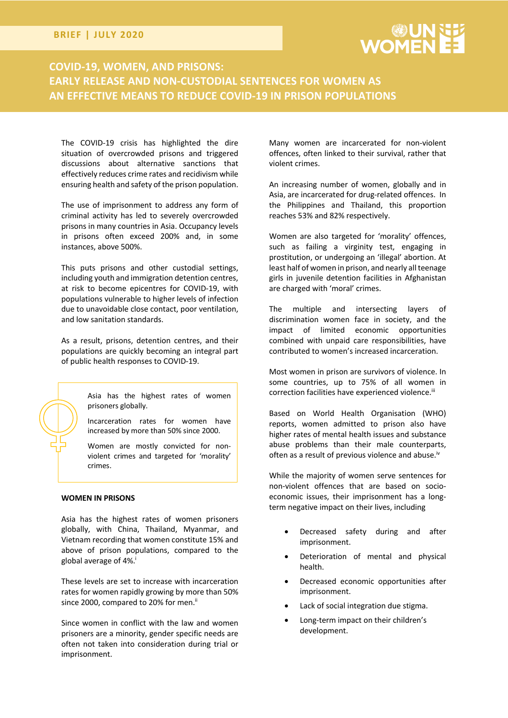# **BRIEF | JULY 2020**

# **COVID-19, WOMEN, AND PRISONS: EARLY RELEASE AND NON-CUSTODIAL SENTENCES FOR WOMEN AS AN EFFECTIVE MEANS TO REDUCE COVID-19 IN PRISON POPULATIONS**

The COVID-19 crisis has highlighted the dire situation of overcrowded prisons and triggered discussions about alternative sanctions that effectively reduces crime rates and recidivism while ensuring health and safety of the prison population.

The use of imprisonment to address any form of criminal activity has led to severely overcrowded prisons in many countries in Asia. Occupancy levels in prisons often exceed 200% and, in some instances, above 500%.

This puts prisons and other custodial settings, including youth and immigration detention centres, at risk to become epicentres for COVID-19, with populations vulnerable to higher levels of infection due to unavoidable close contact, poor ventilation, and low sanitation standards.

As a result, prisons, detention centres, and their populations are quickly becoming an integral part of public health responses to COVID-19.

> Asia has the highest rates of women prisoners globally.

> Incarceration rates for women have increased by more than 50% since 2000.

> Women are mostly convicted for nonviolent crimes and targeted for 'morality' crimes.

# **WOMEN IN PRISONS**

Asia has the highest rates of women prisoners globally, with China, Thailand, Myanmar, and Vietnam recording that women constitute 15% and above of prison populations, compared to the global average of 4%.<sup>i</sup>

These levels are set to increase with incarceration rates for women rapidly growing by more than 50% since 2000, compared to 20% for men.<sup>ii</sup>

Since women in conflict with the law and women prisoners are a minority, gender specific needs are often not taken into consideration during trial or imprisonment.

Many women are incarcerated for non-violent offences, often linked to their survival, rather that violent crimes.

An increasing number of women, globally and in Asia, are incarcerated for drug-related offences. In the Philippines and Thailand, this proportion reaches 53% and 82% respectively.

Women are also targeted for 'morality' offences, such as failing a virginity test, engaging in prostitution, or undergoing an 'illegal' abortion. At least half of women in prison, and nearly all teenage girls in juvenile detention facilities in Afghanistan are charged with 'moral' crimes.

The multiple and intersecting layers of discrimination women face in society, and the impact of limited economic opportunities combined with unpaid care responsibilities, have contributed to women's increased incarceration.

Most women in prison are survivors of violence. In some countries, up to 75% of all women in correction facilities have experienced violence.<sup>iii</sup>

Based on World Health Organisation (WHO) reports, women admitted to prison also have higher rates of mental health issues and substance abuse problems than their male counterparts, often as a result of previous violence and abuse.<sup>iv</sup>

While the majority of women serve sentences for non-violent offences that are based on socioeconomic issues, their imprisonment has a longterm negative impact on their lives, including

- Decreased safety during and after imprisonment.
- Deterioration of mental and physical health.
- Decreased economic opportunities after imprisonment.
- Lack of social integration due stigma.
- Long-term impact on their children's development.